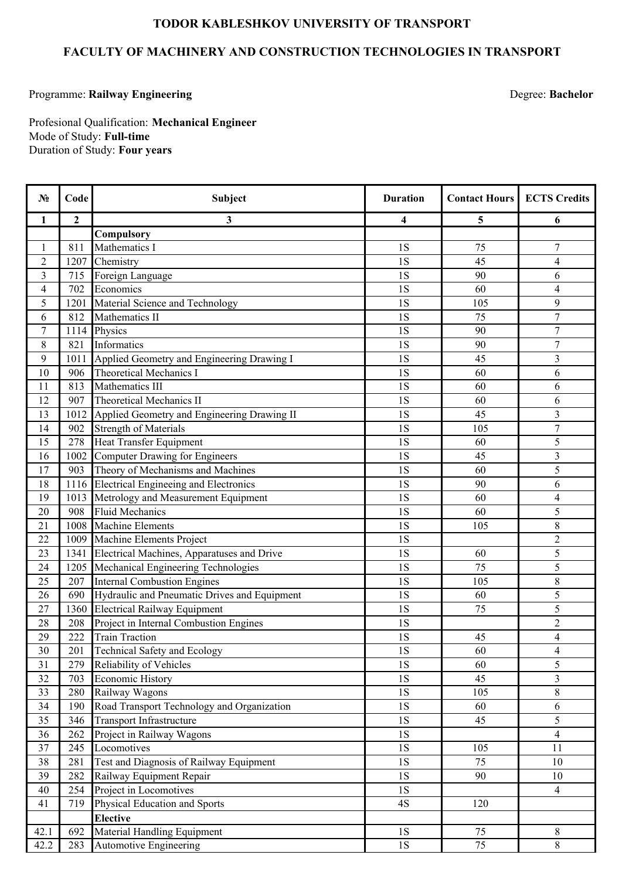## **TODOR KABLESHKOV UNIVERSITY OF TRANSPORT**

## **FACULTY OF MACHINERY AND CONSTRUCTION TECHNOLOGIES IN TRANSPORT**

## Programme: **Railway Engineering**

Degree: **Bachelor**

Duration of Study: **Four years** Mode of Study: **Full-time** Profesional Qualification: **Mechanical Engineer**

| $N_2$            | Code           | <b>Subject</b>                               | <b>Duration</b> | <b>Contact Hours</b> | <b>ECTS Credits</b>      |
|------------------|----------------|----------------------------------------------|-----------------|----------------------|--------------------------|
| 1                | $\overline{2}$ | 3                                            | 4               | 5                    | 6                        |
|                  |                | Compulsory                                   |                 |                      |                          |
| 1                | 811            | Mathematics I                                | 1S              | 75                   | $\overline{7}$           |
| $\overline{2}$   | 1207           | Chemistry                                    | 1S              | 45                   | $\overline{4}$           |
| 3                | 715            | Foreign Language                             | 1S              | 90                   | 6                        |
| $\overline{4}$   | 702            | Economics                                    | 1S              | 60                   | $\overline{4}$           |
| 5                | 1201           | Material Science and Technology              | 1S              | 105                  | 9                        |
| 6                | 812            | Mathematics II                               | 1S              | 75                   | $\overline{7}$           |
| $\boldsymbol{7}$ | 1114           | Physics                                      | 1S              | 90                   | $\overline{7}$           |
| $\,$ 8 $\,$      | 821            | Informatics                                  | 1S              | 90                   | $\overline{7}$           |
| 9                | 1011           | Applied Geometry and Engineering Drawing I   | 1S              | 45                   | 3                        |
| 10               | 906            | <b>Theoretical Mechanics I</b>               | 1S              | 60                   | 6                        |
| 11               | 813            | Mathematics III                              | 1S              | 60                   | 6                        |
| 12               | 907            | Theoretical Mechanics II                     | 1S              | 60                   | 6                        |
| 13               | 1012           | Applied Geometry and Engineering Drawing II  | 1S              | 45                   | $\overline{3}$           |
| 14               | 902            | <b>Strength of Materials</b>                 | 1S              | 105                  | $\overline{7}$           |
| 15               | 278            | <b>Heat Transfer Equipment</b>               | 1S              | 60                   | 5                        |
| 16               | 1002           | Computer Drawing for Engineers               | 1S              | 45                   | $\overline{3}$           |
| 17               | 903            | Theory of Mechanisms and Machines            | 1S              | 60                   | 5                        |
| 18               | 1116           | <b>Electrical Engineeing and Electronics</b> | 1S              | 90                   | 6                        |
| 19               | 1013           | Metrology and Measurement Equipment          | 1S              | 60                   | $\overline{4}$           |
| 20               | 908            | <b>Fluid Mechanics</b>                       | 1S              | 60                   | $\overline{5}$           |
| 21               | 1008           | <b>Machine Elements</b>                      | 1S              | 105                  | 8                        |
| 22               | 1009           | Machine Elements Project                     | 1S              |                      | $\overline{2}$           |
| 23               | 1341           | Electrical Machines, Apparatuses and Drive   | 1S              | 60                   | 5                        |
| 24               | 1205           | Mechanical Engineering Technologies          | 1S              | 75                   | 5                        |
| 25               | 207            | <b>Internal Combustion Engines</b>           | 1S              | 105                  | 8                        |
| 26               | 690            | Hydraulic and Pneumatic Drives and Equipment | 1S              | 60                   | 5                        |
| 27               | 1360           | <b>Electrical Railway Equipment</b>          | 1S              | 75                   | 5                        |
| 28               | 208            | Project in Internal Combustion Engines       | 1S              |                      | $\overline{2}$           |
| 29               | 222            | <b>Train Traction</b>                        | 1S              | 45                   | $\overline{4}$           |
| 30               | 201            | Technical Safety and Ecology                 | 1S              | 60                   | $\overline{\mathcal{L}}$ |
| 31               | 279            | Reliability of Vehicles                      | 1S              | 60                   | 5                        |
| 32               | 703            | <b>Economic History</b>                      | 1S              | 45                   | 3                        |
| 33               | 280            | Railway Wagons                               | $1\mathrm{S}$   | 105                  | $8\,$                    |
| 34               | 190            | Road Transport Technology and Organization   | 1S              | 60                   | 6                        |
| 35               | 346            | Transport Infrastructure                     | 1S              | 45                   | 5                        |
| 36               | 262            | Project in Railway Wagons                    | 1S              |                      | $\overline{4}$           |
| 37               | 245            | Locomotives                                  | 1S              | 105                  | 11                       |
| 38               | 281            | Test and Diagnosis of Railway Equipment      | $1\mathrm{S}$   | 75                   | $10\,$                   |
| 39               | 282            | Railway Equipment Repair                     | 1S              | 90                   | 10                       |
| 40               | 254            | Project in Locomotives                       | $1\mathrm{S}$   |                      | $\overline{4}$           |
| 41               | 719            | Physical Education and Sports                | 4S              | 120                  |                          |
|                  |                | <b>Elective</b>                              |                 |                      |                          |
| 42.1             | 692            | Material Handling Equipment                  | 1S              | 75                   | 8                        |
| 42.2             | 283            | Automotive Engineering                       | 1S              | 75                   | $8\,$                    |